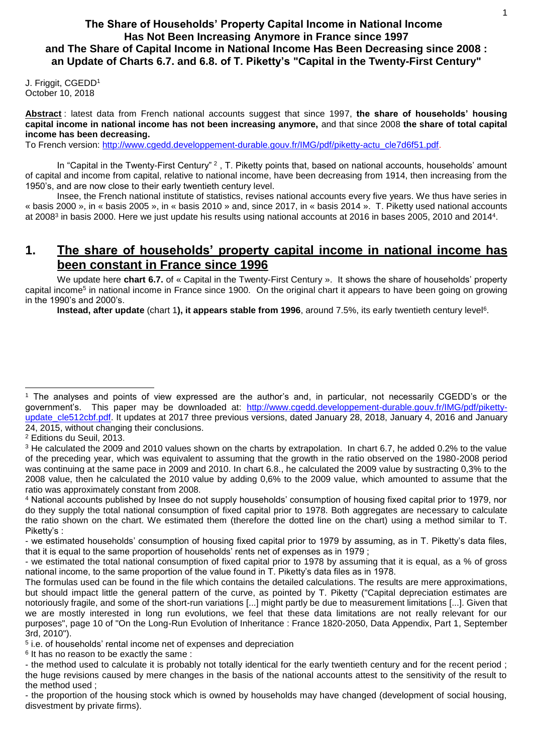## **The Share of Households' Property Capital Income in National Income Has Not Been Increasing Anymore in France since 1997 and The Share of Capital Income in National Income Has Been Decreasing since 2008 : an Update of Charts 6.7. and 6.8. of T. Piketty's "Capital in the Twenty-First Century"**

J. Friggit, CGEDD<sup>1</sup> October 10, 2018

**Abstract** : latest data from French national accounts suggest that since 1997, **the share of households' housing capital income in national income has not been increasing anymore,** and that since 2008 **the share of total capital income has been decreasing.**

To French version: [http://www.cgedd.developpement-durable.gouv.fr/IMG/pdf/piketty-actu\\_cle7d6f51.pdf.](http://www.cgedd.developpement-durable.gouv.fr/IMG/pdf/piketty-actu_cle7d6f51.pdf)

In "Capital in the Twenty-First Century" <sup>2</sup>, T. Piketty points that, based on national accounts, households' amount of capital and income from capital, relative to national income, have been decreasing from 1914, then increasing from the 1950's, and are now close to their early twentieth century level.

Insee, the French national institute of statistics, revises national accounts every five years. We thus have series in « basis 2000 », in « basis 2005 », in « basis 2010 » and, since 2017, in « basis 2014 ». T. Piketty used national accounts at 2008<sup>3</sup> in basis 2000. Here we just update his results using national accounts at 2016 in bases 2005, 2010 and 2014<sup>4</sup>.

# **1. The share of households' property capital income in national income has been constant in France since 1996**

We update here **chart 6.7.** of « Capital in the Twenty-First Century ». It shows the share of households' property capital income<sup>5</sup> in national income in France since 1900. On the original chart it appears to have been going on growing in the 1990's and 2000's.

**Instead, after update** [\(chart 1](#page-1-0)), it appears stable from 1996, around 7.5%, its early twentieth century level<sup>6</sup>.

l

<sup>1</sup> The analyses and points of view expressed are the author's and, in particular, not necessarily CGEDD's or the government's. This paper may be downloaded at: [http://www.cgedd.developpement-durable.gouv.fr/IMG/pdf/piketty](http://www.cgedd.developpement-durable.gouv.fr/IMG/pdf/piketty-update_cle512cbf.pdf)[update\\_cle512cbf.pdf.](http://www.cgedd.developpement-durable.gouv.fr/IMG/pdf/piketty-update_cle512cbf.pdf) It updates at 2017 three previous versions, dated January 28, 2018, January 4, 2016 and January 24, 2015, without changing their conclusions.

<sup>2</sup> Editions du Seuil, 2013.

<sup>&</sup>lt;sup>3</sup> He calculated the 2009 and 2010 values shown on the charts by extrapolation. In chart 6.7, he added 0.2% to the value of the preceding year, which was equivalent to assuming that the growth in the ratio observed on the 1980-2008 period was continuing at the same pace in 2009 and 2010. In chart 6.8., he calculated the 2009 value by sustracting 0,3% to the 2008 value, then he calculated the 2010 value by adding 0,6% to the 2009 value, which amounted to assume that the ratio was approximately constant from 2008.

<sup>4</sup> National accounts published by Insee do not supply households' consumption of housing fixed capital prior to 1979, nor do they supply the total national consumption of fixed capital prior to 1978. Both aggregates are necessary to calculate the ratio shown on the chart. We estimated them (therefore the dotted line on the chart) using a method similar to T. Piketty's :

<sup>-</sup> we estimated households' consumption of housing fixed capital prior to 1979 by assuming, as in T. Piketty's data files, that it is equal to the same proportion of households' rents net of expenses as in 1979 ;

<sup>-</sup> we estimated the total national consumption of fixed capital prior to 1978 by assuming that it is equal, as a % of gross national income, to the same proportion of the value found in T. Piketty's data files as in 1978.

The formulas used can be found in the file which contains the detailed calculations. The results are mere approximations, but should impact little the general pattern of the curve, as pointed by T. Piketty ("Capital depreciation estimates are notoriously fragile, and some of the short-run variations [...] might partly be due to measurement limitations [...]. Given that we are mostly interested in long run evolutions, we feel that these data limitations are not really relevant for our purposes", page 10 of "On the Long-Run Evolution of Inheritance : France 1820-2050, Data Appendix, Part 1, September 3rd, 2010").

<sup>5</sup> i.e. of households' rental income net of expenses and depreciation

<sup>&</sup>lt;sup>6</sup> It has no reason to be exactly the same:

<sup>-</sup> the method used to calculate it is probably not totally identical for the early twentieth century and for the recent period ; the huge revisions caused by mere changes in the basis of the national accounts attest to the sensitivity of the result to the method used ;

<sup>-</sup> the proportion of the housing stock which is owned by households may have changed (development of social housing, disvestment by private firms).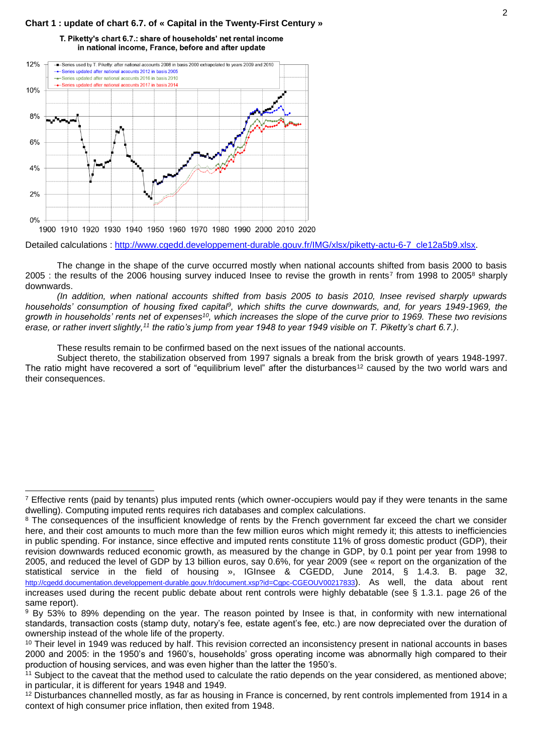### <span id="page-1-0"></span>**Chart 1 : update of chart 6.7. of « Capital in the Twenty-First Century »**

#### T. Piketty's chart 6.7.: share of households' net rental income in national income. France, before and after update



l

Detailed calculations : [http://www.cgedd.developpement-durable.gouv.fr/IMG/xlsx/piketty-actu-6-7\\_cle12a5b9.xlsx.](http://www.cgedd.developpement-durable.gouv.fr/IMG/xlsx/piketty-actu-6-7_cle12a5b9.xlsx)

The change in the shape of the curve occurred mostly when national accounts shifted from basis 2000 to basis 2005 : the results of the 2006 housing survey induced Insee to revise the growth in rents<sup>7</sup> from 1998 to 2005<sup>8</sup> sharply downwards.

*(In addition, when national accounts shifted from basis 2005 to basis 2010, Insee revised sharply upwards households' consumption of housing fixed capital<sup>9</sup> , which shifts the curve downwards, and, for years 1949-1969, the growth in households' rents net of expenses<sup>10</sup>, which increases the slope of the curve prior to 1969. These two revisions erase, or rather invert slightly,<sup>11</sup> the ratio's jump from year 1948 to year 1949 visible on T. Piketty's chart 6.7.).*

These results remain to be confirmed based on the next issues of the national accounts.

Subject thereto, the stabilization observed from 1997 signals a break from the brisk growth of years 1948-1997. The ratio might have recovered a sort of "equilibrium level" after the disturbances<sup>12</sup> caused by the two world wars and their consequences.

 $<sup>7</sup>$  Effective rents (paid by tenants) plus imputed rents (which owner-occupiers would pay if they were tenants in the same</sup> dwelling). Computing imputed rents requires rich databases and complex calculations.

<sup>&</sup>lt;sup>8</sup> The consequences of the insufficient knowledge of rents by the French government far exceed the chart we consider here, and their cost amounts to much more than the few million euros which might remedy it; this attests to inefficiencies in public spending. For instance, since effective and imputed rents constitute 11% of gross domestic product (GDP), their revision downwards reduced economic growth, as measured by the change in GDP, by 0.1 point per year from 1998 to 2005, and reduced the level of GDP by 13 billion euros, say 0.6%, for year 2009 (see « report on the organization of the statistical service in the field of housing », IGInsee & CGEDD, June 2014, § 1.4.3. B. page 32, <http://cgedd.documentation.developpement-durable.gouv.fr/document.xsp?id=Cgpc-CGEOUV00217833>). As well, the data about rent increases used during the recent public debate about rent controls were highly debatable (see § 1.3.1. page 26 of the same report).

<sup>9</sup> By 53% to 89% depending on the year. The reason pointed by Insee is that, in conformity with new international standards, transaction costs (stamp duty, notary's fee, estate agent's fee, etc.) are now depreciated over the duration of ownership instead of the whole life of the property.

<sup>&</sup>lt;sup>10</sup> Their level in 1949 was reduced by half. This revision corrected an inconsistency present in national accounts in bases 2000 and 2005: in the 1950's and 1960's, households' gross operating income was abnormally high compared to their production of housing services, and was even higher than the latter the 1950's.

<sup>11</sup> Subject to the caveat that the method used to calculate the ratio depends on the year considered, as mentioned above; in particular, it is different for years 1948 and 1949.

<sup>&</sup>lt;sup>12</sup> Disturbances channelled mostly, as far as housing in France is concerned, by rent controls implemented from 1914 in a context of high consumer price inflation, then exited from 1948.